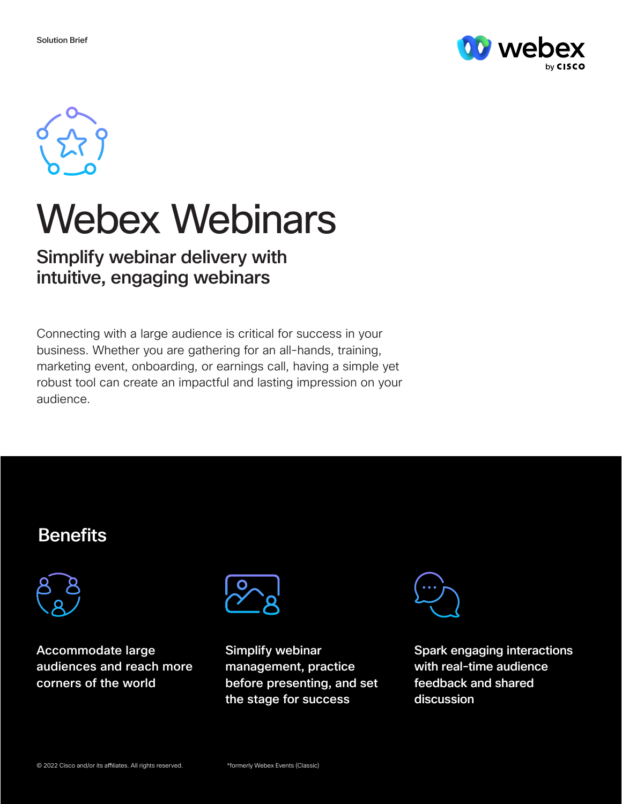



# Webex Webinars

## Simplify webinar delivery with intuitive, engaging webinars

Connecting with a large audience is critical for success in your business. Whether you are gathering for an all-hands, training, marketing event, onboarding, or earnings call, having a simple yet robust tool can create an impactful and lasting impression on your audience.

## **Benefits**



Accommodate large audiences and reach more corners of the world



Simplify webinar management, practice before presenting, and set the stage for success



Spark engaging interactions with real-time audience feedback and shared discussion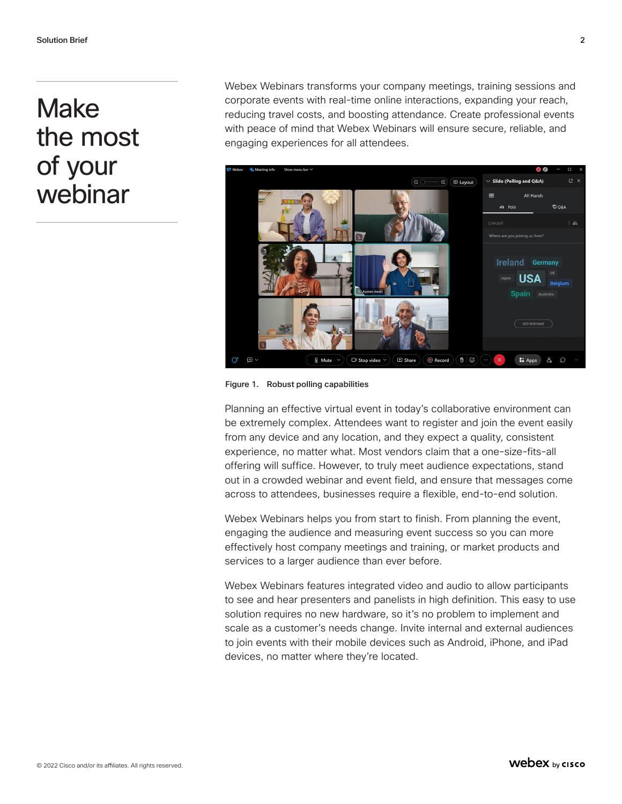## Make the most of your webinar

Webex Webinars transforms your company meetings, training sessions and corporate events with real-time online interactions, expanding your reach, reducing travel costs, and boosting attendance. Create professional events with peace of mind that Webex Webinars will ensure secure, reliable, and engaging experiences for all attendees.



Figure 1. Robust polling capabilities

Planning an effective virtual event in today's collaborative environment can be extremely complex. Attendees want to register and join the event easily from any device and any location, and they expect a quality, consistent experience, no matter what. Most vendors claim that a one-size-fits-all offering will suffice. However, to truly meet audience expectations, stand out in a crowded webinar and event field, and ensure that messages come across to attendees, businesses require a flexible, end-to-end solution.

Webex Webinars helps you from start to finish. From planning the event, engaging the audience and measuring event success so you can more effectively host company meetings and training, or market products and services to a larger audience than ever before.

Webex Webinars features integrated video and audio to allow participants to see and hear presenters and panelists in high definition. This easy to use solution requires no new hardware, so it's no problem to implement and scale as a customer's needs change. Invite internal and external audiences to join events with their mobile devices such as Android, iPhone, and iPad devices, no matter where they're located.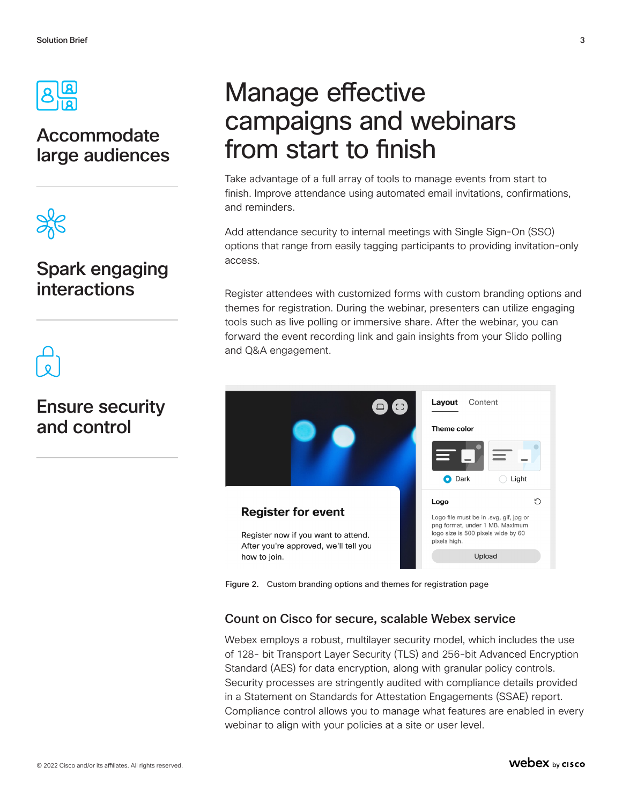

## Accommodate large audiences



## Spark engaging interactions



## Ensure security and control

## Manage effective campaigns and webinars from start to finish

Take advantage of a full array of tools to manage events from start to finish. Improve attendance using automated email invitations, confirmations, and reminders.

Add attendance security to internal meetings with Single Sign-On (SSO) options that range from easily tagging participants to providing invitation-only access.

Register attendees with customized forms with custom branding options and themes for registration. During the webinar, presenters can utilize engaging tools such as live polling or immersive share. After the webinar, you can forward the event recording link and gain insights from your Slido polling and Q&A engagement.



Figure 2. Custom branding options and themes for registration page

#### Count on Cisco for secure, scalable Webex service

Webex employs a robust, multilayer security model, which includes the use of 128- bit Transport Layer Security (TLS) and 256-bit Advanced Encryption Standard (AES) for data encryption, along with granular policy controls. Security processes are stringently audited with compliance details provided in a Statement on Standards for Attestation Engagements (SSAE) report. Compliance control allows you to manage what features are enabled in every webinar to align with your policies at a site or user level.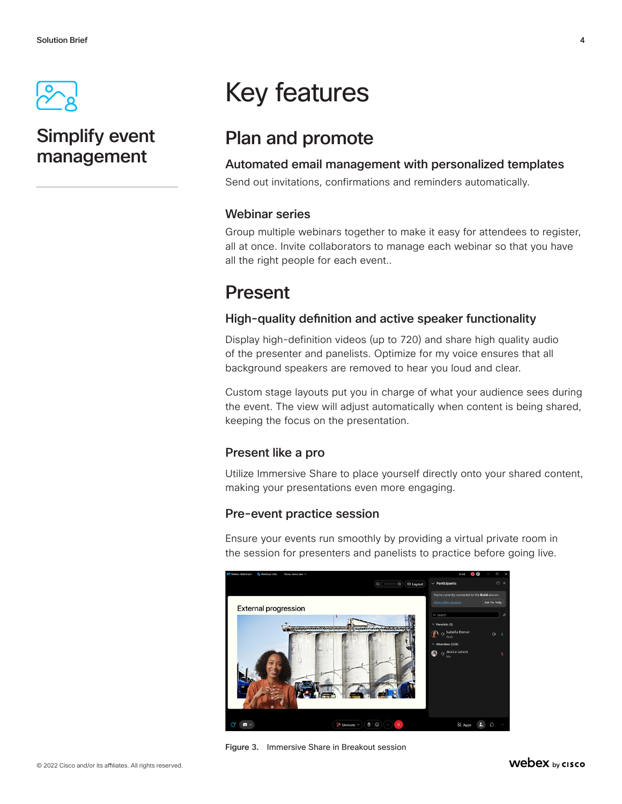

## Simplify event management

## Key features

## Plan and promote

#### Automated email management with personalized templates

Send out invitations, confirmations and reminders automatically.

#### Webinar series

Group multiple webinars together to make it easy for attendees to register, all at once. Invite collaborators to manage each webinar so that you have all the right people for each event..

## Present

#### High-quality definition and active speaker functionality

Display high-definition videos (up to 720) and share high quality audio of the presenter and panelists. Optimize for my voice ensures that all background speakers are removed to hear you loud and clear.

Custom stage layouts put you in charge of what your audience sees during the event. The view will adjust automatically when content is being shared, keeping the focus on the presentation.

#### Present like a pro

Utilize Immersive Share to place yourself directly onto your shared content, making your presentations even more engaging.

#### Pre-event practice session

Ensure your events run smoothly by providing a virtual private room in the session for presenters and panelists to practice before going live.



Figure 3. Immersive Share in Breakout session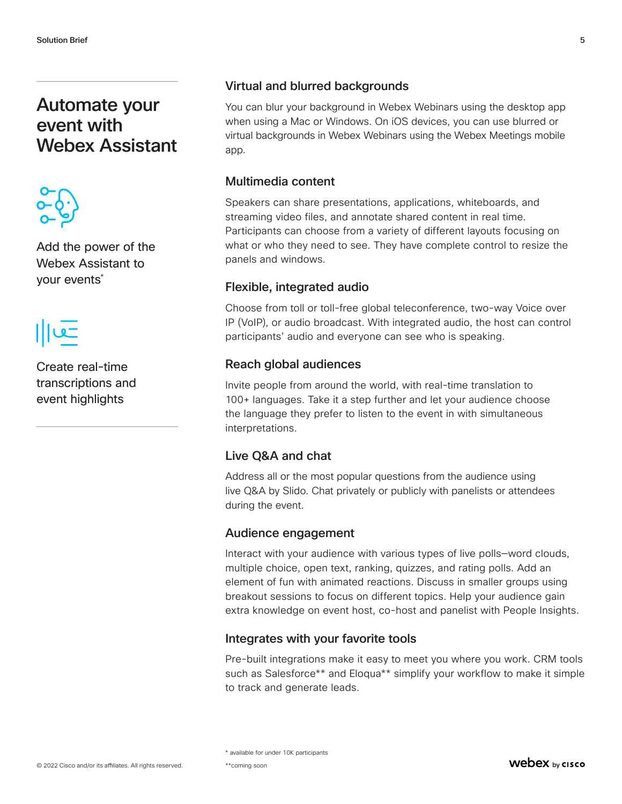### Automate your event with Webex Assistant



Add the power of the Webex Assistant to your events\*



Create real-time transcriptions and event highlights

#### Virtual and blurred backgrounds

You can blur your background in Webex Webinars using the desktop app when using a Mac or Windows. On iOS devices, you can use blurred or virtual backgrounds in Webex Webinars using the Webex Meetings mobile app.

#### Multimedia content

Speakers can share presentations, applications, whiteboards, and streaming video files, and annotate shared content in real time. Participants can choose from a variety of different layouts focusing on what or who they need to see. They have complete control to resize the panels and windows.

#### Flexible, integrated audio

Choose from toll or toll-free global teleconference, two-way Voice over IP (VoIP), or audio broadcast. With integrated audio, the host can control participants' audio and everyone can see who is speaking.

#### Reach global audiences

Invite people from around the world, with real-time translation to 100+ languages. Take it a step further and let your audience choose the language they prefer to listen to the event in with simultaneous interpretations.

#### Live Q&A and chat

Address all or the most popular questions from the audience using live Q&A by Slido. Chat privately or publicly with panelists or attendees during the event.

#### Audience engagement

Interact with your audience with various types of live polls—word clouds, multiple choice, open text, ranking, quizzes, and rating polls. Add an element of fun with animated reactions. Discuss in smaller groups using breakout sessions to focus on different topics. Help your audience gain extra knowledge on event host, co-host and panelist with People Insights.

#### Integrates with your favorite tools

Pre-built integrations make it easy to meet you where you work. CRM tools such as Salesforce\*\* and Eloqua\*\* simplify your workflow to make it simple to track and generate leads.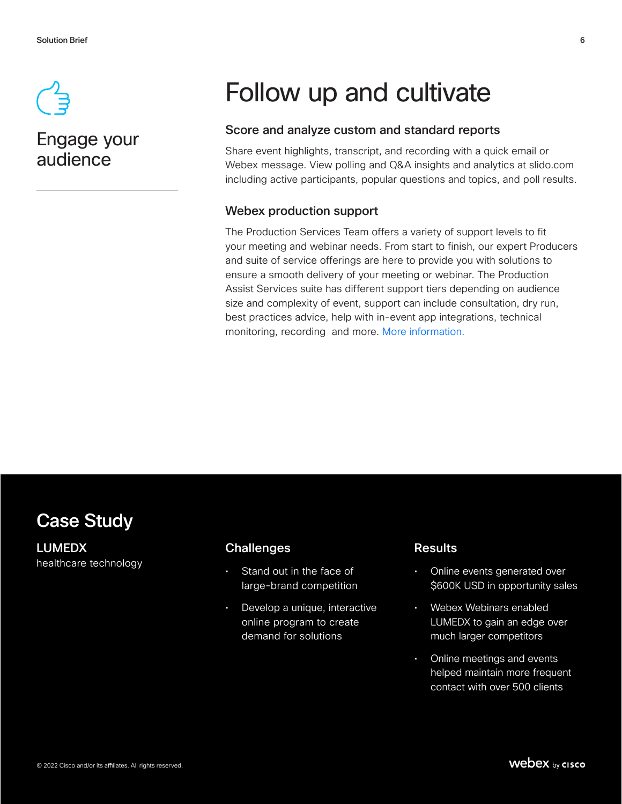

### Engage your audience

## Follow up and cultivate

#### Score and analyze custom and standard reports

Share event highlights, transcript, and recording with a quick email or Webex message. View polling and Q&A insights and analytics at slido.com including active participants, popular questions and topics, and poll results.

#### Webex production support

The Production Services Team offers a variety of support levels to fit your meeting and webinar needs. From start to finish, our expert Producers and suite of service offerings are here to provide you with solutions to ensure a smooth delivery of your meeting or webinar. The Production Assist Services suite has different support tiers depending on audience size and complexity of event, support can include consultation, dry run, best practices advice, help with in-event app integrations, technical monitoring, recording and more. More information.

### Case Study

LUMEDX healthcare technology

#### **Challenges**

- Stand out in the face of large-brand competition
- Develop a unique, interactive online program to create demand for solutions

#### **Results**

- Online events generated over \$600K USD in opportunity sales
- Webex Webinars enabled LUMEDX to gain an edge over much larger competitors
- Online meetings and events helped maintain more frequent contact with over 500 clients